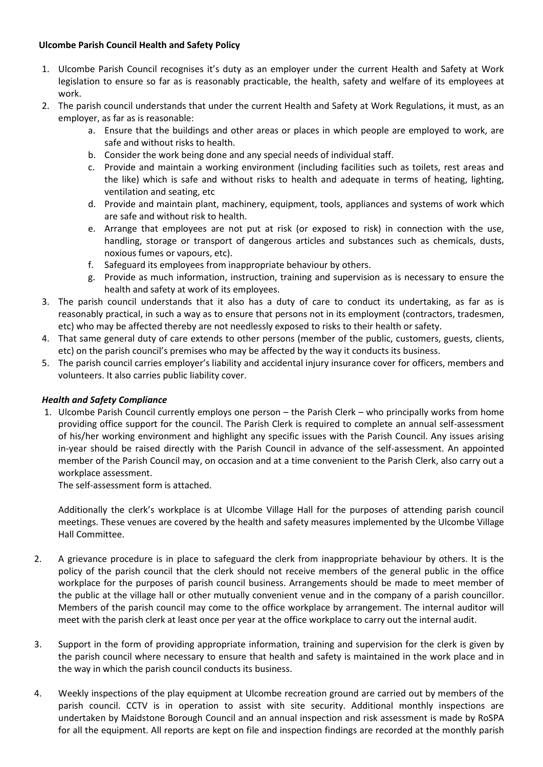## **Ulcombe Parish Council Health and Safety Policy**

- 1. Ulcombe Parish Council recognises it's duty as an employer under the current Health and Safety at Work legislation to ensure so far as is reasonably practicable, the health, safety and welfare of its employees at work.
- 2. The parish council understands that under the current Health and Safety at Work Regulations, it must, as an employer, as far as is reasonable:
	- a. Ensure that the buildings and other areas or places in which people are employed to work, are safe and without risks to health.
	- b. Consider the work being done and any special needs of individual staff.
	- c. Provide and maintain a working environment (including facilities such as toilets, rest areas and the like) which is safe and without risks to health and adequate in terms of heating, lighting, ventilation and seating, etc
	- d. Provide and maintain plant, machinery, equipment, tools, appliances and systems of work which are safe and without risk to health.
	- e. Arrange that employees are not put at risk (or exposed to risk) in connection with the use, handling, storage or transport of dangerous articles and substances such as chemicals, dusts, noxious fumes or vapours, etc).
	- f. Safeguard its employees from inappropriate behaviour by others.
	- g. Provide as much information, instruction, training and supervision as is necessary to ensure the health and safety at work of its employees.
- 3. The parish council understands that it also has a duty of care to conduct its undertaking, as far as is reasonably practical, in such a way as to ensure that persons not in its employment (contractors, tradesmen, etc) who may be affected thereby are not needlessly exposed to risks to their health or safety.
- 4. That same general duty of care extends to other persons (member of the public, customers, guests, clients, etc) on the parish council's premises who may be affected by the way it conducts its business.
- 5. The parish council carries employer's liability and accidental injury insurance cover for officers, members and volunteers. It also carries public liability cover.

## *Health and Safety Compliance*

1. Ulcombe Parish Council currently employs one person – the Parish Clerk – who principally works from home providing office support for the council. The Parish Clerk is required to complete an annual self-assessment of his/her working environment and highlight any specific issues with the Parish Council. Any issues arising in-year should be raised directly with the Parish Council in advance of the self-assessment. An appointed member of the Parish Council may, on occasion and at a time convenient to the Parish Clerk, also carry out a workplace assessment.

The self-assessment form is attached.

Additionally the clerk's workplace is at Ulcombe Village Hall for the purposes of attending parish council meetings. These venues are covered by the health and safety measures implemented by the Ulcombe Village Hall Committee.

- 2. A grievance procedure is in place to safeguard the clerk from inappropriate behaviour by others. It is the policy of the parish council that the clerk should not receive members of the general public in the office workplace for the purposes of parish council business. Arrangements should be made to meet member of the public at the village hall or other mutually convenient venue and in the company of a parish councillor. Members of the parish council may come to the office workplace by arrangement. The internal auditor will meet with the parish clerk at least once per year at the office workplace to carry out the internal audit.
- 3. Support in the form of providing appropriate information, training and supervision for the clerk is given by the parish council where necessary to ensure that health and safety is maintained in the work place and in the way in which the parish council conducts its business.
- 4. Weekly inspections of the play equipment at Ulcombe recreation ground are carried out by members of the parish council. CCTV is in operation to assist with site security. Additional monthly inspections are undertaken by Maidstone Borough Council and an annual inspection and risk assessment is made by RoSPA for all the equipment. All reports are kept on file and inspection findings are recorded at the monthly parish